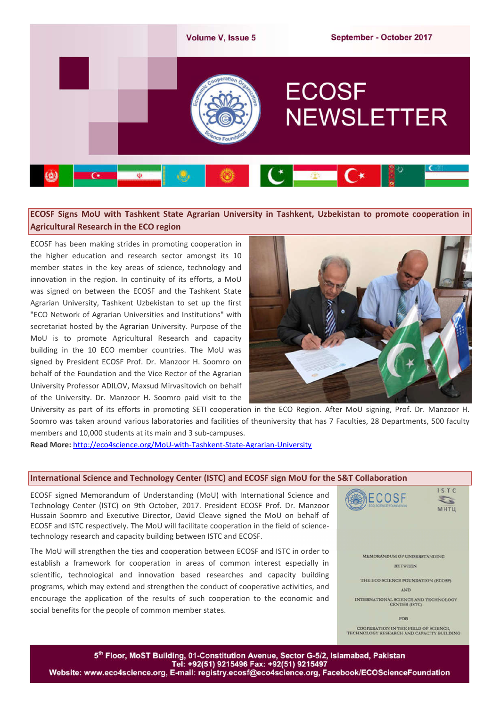

# **ECOSF Signs MoU with Tashkent State Agrarian University in Tashkent, Uzbekistan to promote cooperation in Agricultural Research in the ECO region**

ECOSF has been making strides in promoting cooperation in the higher education and research sector amongst its 10 member states in the key areas of science, technology and innovation in the region. In continuity of its efforts, a MoU was signed on between the ECOSF and the Tashkent State Agrarian University, Tashkent Uzbekistan to set up the first "ECO Network of Agrarian Universities and Institutions" with secretariat hosted by the Agrarian University. Purpose of the MoU is to promote Agricultural Research and capacity building in the 10 ECO member countries. The MoU was signed by President ECOSF Prof. Dr. Manzoor H. Soomro on behalf of the Foundation and the Vice Rector of the Agrarian University Professor ADILOV, Maxsud Mirvasitovich on behalf of the University. Dr. Manzoor H. Soomro paid visit to the



University as part of its efforts in promoting SETI cooperation in the ECO Region. After MoU signing, Prof. Dr. Manzoor H. Soomro was taken around various laboratories and facilities of theuniversity that has 7 Faculties, 28 Departments, 500 faculty members and 10,000 students at its main and 3 sub-campuses.

**Read More:** http://eco4science.org/MoU-with-Tashkent-State-Agrarian-University

#### **International Science and Technology Center (ISTC) and ECOSF sign MoU for the S&T Collaboration**

ECOSF signed Memorandum of Understanding (MoU) with International Science and Technology Center (ISTC) on 9th October, 2017. President ECOSF Prof. Dr. Manzoor Hussain Soomro and Executive Director, David Cleave signed the MoU on behalf of ECOSF and ISTC respectively. The MoU will facilitate cooperation in the field of sciencetechnology research and capacity building between ISTC and ECOSF.

The MoU will strengthen the ties and cooperation between ECOSF and ISTC in order to establish a framework for cooperation in areas of common interest especially in scientific, technological and innovation based researches and capacity building programs, which may extend and strengthen the conduct of cooperative activities, and encourage the application of the results of such cooperation to the economic and social benefits for the people of common member states.



5th Floor, MoST Building, 01-Constitution Avenue, Sector G-5/2, Islamabad, Pakistan Tel: +92(51) 9215496 Fax: +92(51) 9215497 Website: www.eco4science.org, E-mail: registry.ecosf@eco4science.org, Facebook/ECOScienceFoundation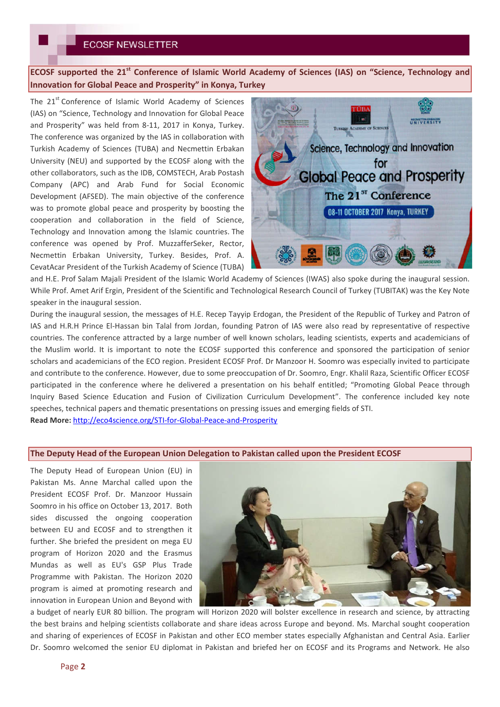**ECOSF supported the 21st Conference of Islamic World Academy of Sciences (IAS) on "Science, Technology and Innovation for Global Peace and Prosperity" in Konya, Turkey**

The 21<sup>st</sup> Conference of Islamic World Academy of Sciences (IAS) on "Science, Technology and Innovation for Global Peace and Prosperity" was held from 8-11, 2017 in Konya, Turkey. The conference was organized by the IAS in collaboration with Turkish Academy of Sciences (TUBA) and Necmettin Erbakan University (NEU) and supported by the ECOSF along with the other collaborators, such as the IDB, COMSTECH, Arab Postash Company (APC) and Arab Fund for Social Economic Development (AFSED). The main objective of the conference was to promote global peace and prosperity by boosting the cooperation and collaboration in the field of Science, Technology and Innovation among the Islamic countries. The conference was opened by Prof. MuzzafferSeker, Rector, Necmettin Erbakan University, Turkey. Besides, Prof. A. CevatAcar President of the Turkish Academy of Science (TUBA)



and H.E. Prof Salam Majali President of the Islamic World Academy of Sciences (IWAS) also spoke during the inaugural session. While Prof. Amet Arif Ergin, President of the Scientific and Technological Research Council of Turkey (TUBITAK) was the Key Note speaker in the inaugural session.

During the inaugural session, the messages of H.E. Recep Tayyip Erdogan, the President of the Republic of Turkey and Patron of IAS and H.R.H Prince El-Hassan bin Talal from Jordan, founding Patron of IAS were also read by representative of respective countries. The conference attracted by a large number of well known scholars, leading scientists, experts and academicians of the Muslim world. It is important to note the ECOSF supported this conference and sponsored the participation of senior scholars and academicians of the ECO region. President ECOSF Prof. Dr Manzoor H. Soomro was especially invited to participate and contribute to the conference. However, due to some preoccupation of Dr. Soomro, Engr. Khalil Raza, Scientific Officer ECOSF participated in the conference where he delivered a presentation on his behalf entitled; "Promoting Global Peace through Inquiry Based Science Education and Fusion of Civilization Curriculum Development". The conference included key note speeches, technical papers and thematic presentations on pressing issues and emerging fields of STI.

**Read More:** http://eco4science.org/STI-for-Global-Peace-and-Prosperity

#### **The Deputy Head of the European Union Delegation to Pakistan called upon the President ECOSF**

The Deputy Head of European Union (EU) in Pakistan Ms. Anne Marchal called upon the President ECOSF Prof. Dr. Manzoor Hussain Soomro in his office on October 13, 2017. Both sides discussed the ongoing cooperation between EU and ECOSF and to strengthen it further. She briefed the president on mega EU program of Horizon 2020 and the Erasmus Mundas as well as EU's GSP Plus Trade Programme with Pakistan. The Horizon 2020 program is aimed at promoting research and innovation in European Union and Beyond with



a budget of nearly EUR 80 billion. The program will Horizon 2020 will bolster excellence in research and science, by attracting the best brains and helping scientists collaborate and share ideas across Europe and beyond. Ms. Marchal sought cooperation and sharing of experiences of ECOSF in Pakistan and other ECO member states especially Afghanistan and Central Asia. Earlier Dr. Soomro welcomed the senior EU diplomat in Pakistan and briefed her on ECOSF and its Programs and Network. He also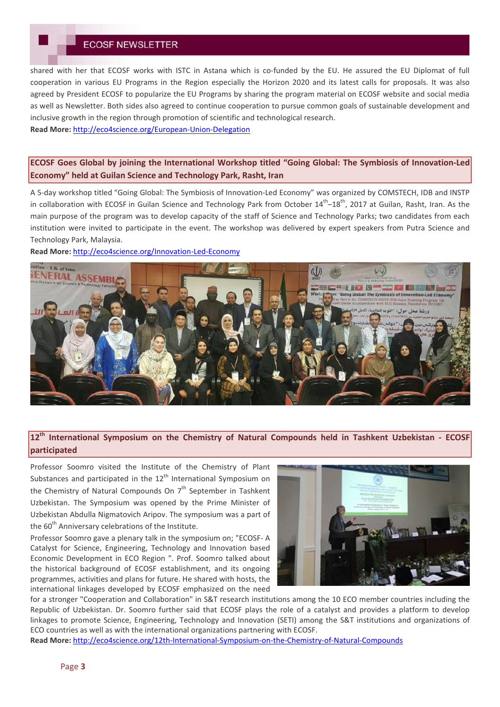shared with her that ECOSF works with ISTC in Astana which is co-funded by the EU. He assured the EU Diplomat of full cooperation in various EU Programs in the Region especially the Horizon 2020 and its latest calls for proposals. It was also agreed by President ECOSF to popularize the EU Programs by sharing the program material on ECOSF website and social media as well as Newsletter. Both sides also agreed to continue cooperation to pursue common goals of sustainable development and inclusive growth in the region through promotion of scientific and technological research.

**Read More:** http://eco4science.org/European-Union-Delegation

## **ECOSF Goes Global by joining the International Workshop titled "Going Global: The Symbiosis of Innovation-Led Economy" held at Guilan Science and Technology Park, Rasht, Iran**

A 5-day workshop titled "Going Global: The Symbiosis of Innovation-Led Economy" was organized by COMSTECH, IDB and INSTP in collaboration with ECOSF in Guilan Science and Technology Park from October  $14^{th}-18^{th}$ , 2017 at Guilan, Rasht, Iran. As the main purpose of the program was to develop capacity of the staff of Science and Technology Parks; two candidates from each institution were invited to participate in the event. The workshop was delivered by expert speakers from Putra Science and Technology Park, Malaysia.

**Read More:** http://eco4science.org/Innovation-Led-Economy



## **12th International Symposium on the Chemistry of Natural Compounds held in Tashkent Uzbekistan - ECOSF participated**

Professor Soomro visited the Institute of the Chemistry of Plant Substances and participated in the  $12<sup>th</sup>$  International Symposium on the Chemistry of Natural Compounds On  $7<sup>th</sup>$  September in Tashkent Uzbekistan. The Symposium was opened by the Prime Minister of Uzbekistan Abdulla Nigmatovich Aripov. The symposium was a part of the  $60<sup>th</sup>$  Anniversary celebrations of the Institute.

Professor Soomro gave a plenary talk in the symposium on; "ECOSF- A Catalyst for Science, Engineering, Technology and Innovation based Economic Development in ECO Region ". Prof. Soomro talked about the historical background of ECOSF establishment, and its ongoing programmes, activities and plans for future. He shared with hosts, the international linkages developed by ECOSF emphasized on the need



for a stronger "Cooperation and Collaboration" in S&T research institutions among the 10 ECO member countries including the Republic of Uzbekistan. Dr. Soomro further said that ECOSF plays the role of a catalyst and provides a platform to develop linkages to promote Science, Engineering, Technology and Innovation (SETI) among the S&T institutions and organizations of ECO countries as well as with the international organizations partnering with ECOSF.

**Read More:** http://eco4science.org/12th-International-Symposium-on-the-Chemistry-of-Natural-Compounds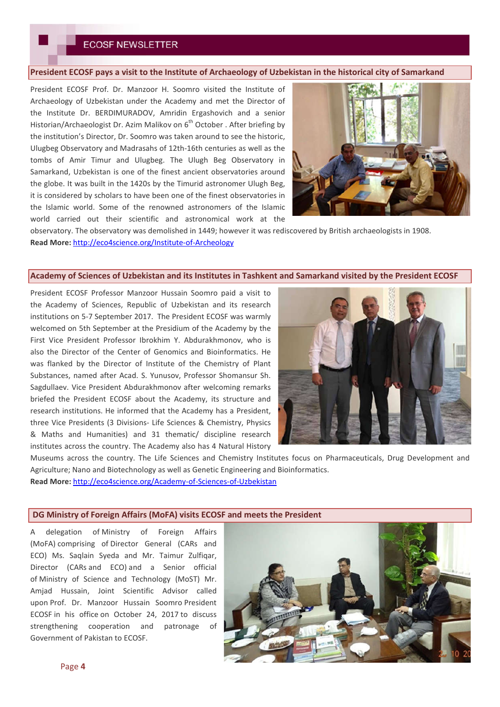### **President ECOSF pays a visit to the Institute of Archaeology of Uzbekistan in the historical city of Samarkand**

President ECOSF Prof. Dr. Manzoor H. Soomro visited the Institute of Archaeology of Uzbekistan under the Academy and met the Director of the Institute Dr. BERDIMURADOV, Amridin Ergashovich and a senior Historian/Archaeologist Dr. Azim Malikov on 6<sup>th</sup> October . After briefing by the institution's Director, Dr. Soomro was taken around to see the historic, Ulugbeg Observatory and Madrasahs of 12th-16th centuries as well as the tombs of Amir Timur and Ulugbeg. The Ulugh Beg Observatory in Samarkand, Uzbekistan is one of the finest ancient observatories around the globe. It was built in the 1420s by the Timurid astronomer Ulugh Beg, it is considered by scholars to have been one of the finest observatories in the Islamic world. Some of the renowned astronomers of the Islamic world carried out their scientific and astronomical work at the



observatory. The observatory was demolished in 1449; however it was rediscovered by British archaeologists in 1908. **Read More:** http://eco4science.org/Institute-of-Archeology

#### **Academy of Sciences of Uzbekistan and its Institutes in Tashkent and Samarkand visited by the President ECOSF**

President ECOSF Professor Manzoor Hussain Soomro paid a visit to the Academy of Sciences, Republic of Uzbekistan and its research institutions on 5-7 September 2017. The President ECOSF was warmly welcomed on 5th September at the Presidium of the Academy by the First Vice President Professor Ibrokhim Y. Abdurakhmonov, who is also the Director of the Center of Genomics and Bioinformatics. He was flanked by the Director of Institute of the Chemistry of Plant Substances, named after Acad. S. Yunusov, Professor Shomansur Sh. Sagdullaev. Vice President Abdurakhmonov after welcoming remarks briefed the President ECOSF about the Academy, its structure and research institutions. He informed that the Academy has a President, three Vice Presidents (3 Divisions- Life Sciences & Chemistry, Physics & Maths and Humanities) and 31 thematic/ discipline research institutes across the country. The Academy also has 4 Natural History



Museums across the country. The Life Sciences and Chemistry Institutes focus on Pharmaceuticals, Drug Development and Agriculture; Nano and Biotechnology as well as Genetic Engineering and Bioinformatics. **Read More:** http://eco4science.org/Academy-of-Sciences-of-Uzbekistan

#### **DG Ministry of Foreign Affairs (MoFA) visits ECOSF and meets the President**

A delegation of Ministry of Foreign Affairs (MoFA) comprising of Director General (CARs and ECO) Ms. Saqlain Syeda and Mr. Taimur Zulfiqar, Director (CARs and ECO) and a Senior official of Ministry of Science and Technology (MoST) Mr. Amjad Hussain, Joint Scientific Advisor called upon Prof. Dr. Manzoor Hussain Soomro President ECOSF in his office on October 24, 2017 to discuss strengthening cooperation and patronage of Government of Pakistan to ECOSF.

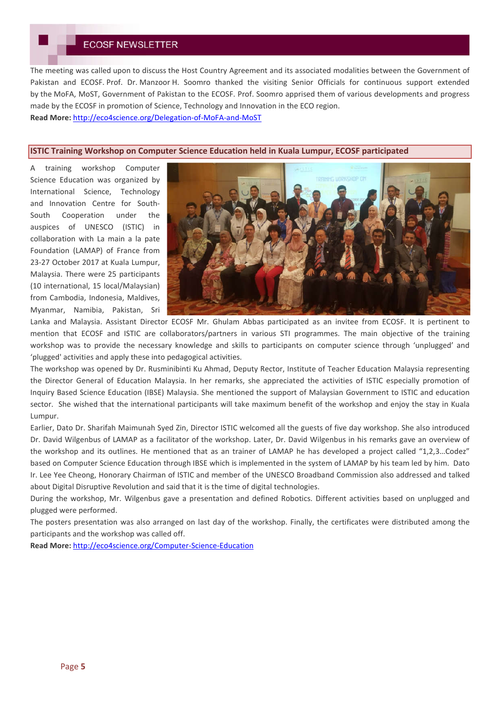The meeting was called upon to discuss the Host Country Agreement and its associated modalities between the Government of Pakistan and ECOSF. Prof. Dr. Manzoor H. Soomro thanked the visiting Senior Officials for continuous support extended by the MoFA, MoST, Government of Pakistan to the ECOSF. Prof. Soomro apprised them of various developments and progress made by the ECOSF in promotion of Science, Technology and Innovation in the ECO region.

**Read More:** http://eco4science.org/Delegation-of-MoFA-and-MoST

### **ISTIC Training Workshop on Computer Science Education held in Kuala Lumpur, ECOSF participated**

A training workshop Computer Science Education was organized by International Science, Technology and Innovation Centre for South-South Cooperation under the auspices of UNESCO (ISTIC) in collaboration with La main a la pate Foundation (LAMAP) of France from 23-27 October 2017 at Kuala Lumpur, Malaysia. There were 25 participants (10 international, 15 local/Malaysian) from Cambodia, Indonesia, Maldives, Myanmar, Namibia, Pakistan, Sri



Lanka and Malaysia. Assistant Director ECOSF Mr. Ghulam Abbas participated as an invitee from ECOSF. It is pertinent to mention that ECOSF and ISTIC are collaborators/partners in various STI programmes. The main objective of the training workshop was to provide the necessary knowledge and skills to participants on computer science through 'unplugged' and 'plugged' activities and apply these into pedagogical activities.

The workshop was opened by Dr. Rusminibinti Ku Ahmad, Deputy Rector, Institute of Teacher Education Malaysia representing the Director General of Education Malaysia. In her remarks, she appreciated the activities of ISTIC especially promotion of Inquiry Based Science Education (IBSE) Malaysia. She mentioned the support of Malaysian Government to ISTIC and education sector. She wished that the international participants will take maximum benefit of the workshop and enjoy the stay in Kuala Lumpur.

Earlier, Dato Dr. Sharifah Maimunah Syed Zin, Director ISTIC welcomed all the guests of five day workshop. She also introduced Dr. David Wilgenbus of LAMAP as a facilitator of the workshop. Later, Dr. David Wilgenbus in his remarks gave an overview of the workshop and its outlines. He mentioned that as an trainer of LAMAP he has developed a project called "1,2,3…Codez" based on Computer Science Education through IBSE which is implemented in the system of LAMAP by his team led by him. Dato Ir. Lee Yee Cheong, Honorary Chairman of ISTIC and member of the UNESCO Broadband Commission also addressed and talked about Digital Disruptive Revolution and said that it is the time of digital technologies.

During the workshop, Mr. Wilgenbus gave a presentation and defined Robotics. Different activities based on unplugged and plugged were performed.

The posters presentation was also arranged on last day of the workshop. Finally, the certificates were distributed among the participants and the workshop was called off.

**Read More:** http://eco4science.org/Computer-Science-Education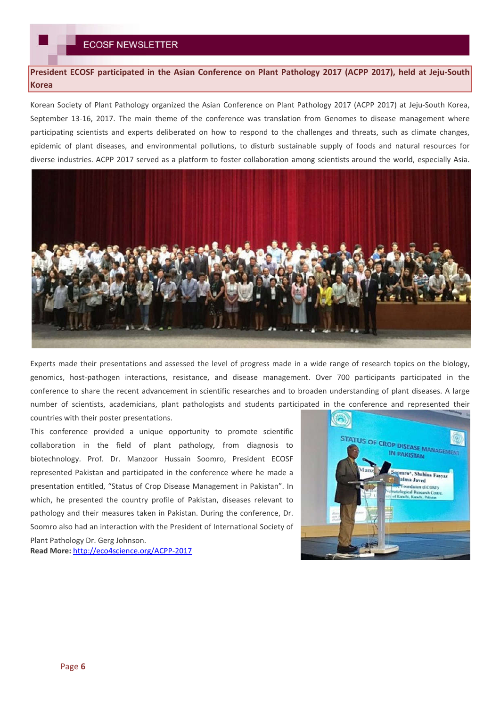**President ECOSF participated in the Asian Conference on Plant Pathology 2017 (ACPP 2017), held at Jeju-South Korea**

Korean Society of Plant Pathology organized the Asian Conference on Plant Pathology 2017 (ACPP 2017) at Jeju-South Korea, September 13-16, 2017. The main theme of the conference was translation from Genomes to disease management where participating scientists and experts deliberated on how to respond to the challenges and threats, such as climate changes, epidemic of plant diseases, and environmental pollutions, to disturb sustainable supply of foods and natural resources for diverse industries. ACPP 2017 served as a platform to foster collaboration among scientists around the world, especially Asia.



Experts made their presentations and assessed the level of progress made in a wide range of research topics on the biology, genomics, host-pathogen interactions, resistance, and disease management. Over 700 participants participated in the conference to share the recent advancement in scientific researches and to broaden understanding of plant diseases. A large number of scientists, academicians, plant pathologists and students participated in the conference and represented their countries with their poster presentations.

This conference provided a unique opportunity to promote scientific collaboration in the field of plant pathology, from diagnosis to biotechnology. Prof. Dr. Manzoor Hussain Soomro, President ECOSF represented Pakistan and participated in the conference where he made a presentation entitled, "Status of Crop Disease Management in Pakistan". In which, he presented the country profile of Pakistan, diseases relevant to pathology and their measures taken in Pakistan. During the conference, Dr. Soomro also had an interaction with the President of International Society of Plant Pathology Dr. Gerg Johnson.

**Read More:** http://eco4science.org/ACPP-2017

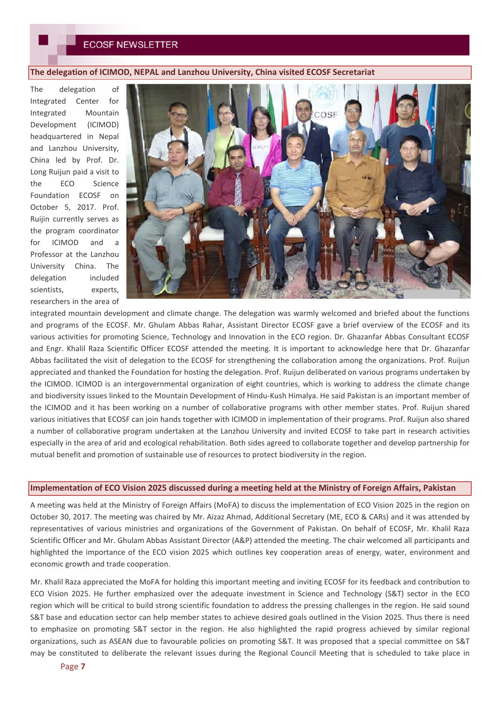### **The delegation of ICIMOD, NEPAL and Lanzhou University, China visited ECOSF Secretariat**

The delegation of Integrated Center for Integrated Mountain Development (ICIMOD) headquartered in Nepal and Lanzhou University, China led by Prof. Dr. Long Ruijun paid a visit to the ECO Science Foundation ECOSF on October 5, 2017. Prof. Ruijin currently serves as the program coordinator for ICIMOD and a Professor at the Lanzhou University China. The delegation included scientists, experts, researchers in the area of



integrated mountain development and climate change. The delegation was warmly welcomed and briefed about the functions and programs of the ECOSF. Mr. Ghulam Abbas Rahar, Assistant Director ECOSF gave a brief overview of the ECOSF and its various activities for promoting Science, Technology and Innovation in the ECO region. Dr. Ghazanfar Abbas Consultant ECOSF and Engr. Khalil Raza Scientific Officer ECOSF attended the meeting. It is important to acknowledge here that Dr. Ghazanfar Abbas facilitated the visit of delegation to the ECOSF for strengthening the collaboration among the organizations. Prof. Ruijun appreciated and thanked the Foundation for hosting the delegation. Prof. Ruijun deliberated on various programs undertaken by the ICIMOD. ICIMOD is an intergovernmental organization of eight countries, which is working to address the climate change and biodiversity issues linked to the Mountain Development of Hindu-Kush Himalya. He said Pakistan is an important member of the ICIMOD and it has been working on a number of collaborative programs with other member states. Prof. Ruijun shared various initiatives that ECOSF can join hands together with ICIMOD in implementation of their programs. Prof. Ruijun also shared a number of collaborative program undertaken at the Lanzhou University and invited ECOSF to take part in research activities especially in the area of arid and ecological rehabilitation. Both sides agreed to collaborate together and develop partnership for mutual benefit and promotion of sustainable use of resources to protect biodiversity in the region.

### **Implementation of ECO Vision 2025 discussed during a meeting held at the Ministry of Foreign Affairs, Pakistan**

A meeting was held at the Ministry of Foreign Affairs (MoFA) to discuss the implementation of ECO Vision 2025 in the region on October 30, 2017. The meeting was chaired by Mr. Aizaz Ahmad, Additional Secretary (ME, ECO & CARs) and it was attended by representatives of various ministries and organizations of the Government of Pakistan. On behalf of ECOSF, Mr. Khalil Raza Scientific Officer and Mr. Ghulam Abbas Assistant Director (A&P) attended the meeting. The chair welcomed all participants and highlighted the importance of the ECO vision 2025 which outlines key cooperation areas of energy, water, environment and economic growth and trade cooperation.

Mr. Khalil Raza appreciated the MoFA for holding this important meeting and inviting ECOSF for its feedback and contribution to ECO Vision 2025. He further emphasized over the adequate investment in Science and Technology (S&T) sector in the ECO region which will be critical to build strong scientific foundation to address the pressing challenges in the region. He said sound S&T base and education sector can help member states to achieve desired goals outlined in the Vision 2025. Thus there is need to emphasize on promoting S&T sector in the region. He also highlighted the rapid progress achieved by similar regional organizations, such as ASEAN due to favourable policies on promoting S&T. It was proposed that a special committee on S&T may be constituted to deliberate the relevant issues during the Regional Council Meeting that is scheduled to take place in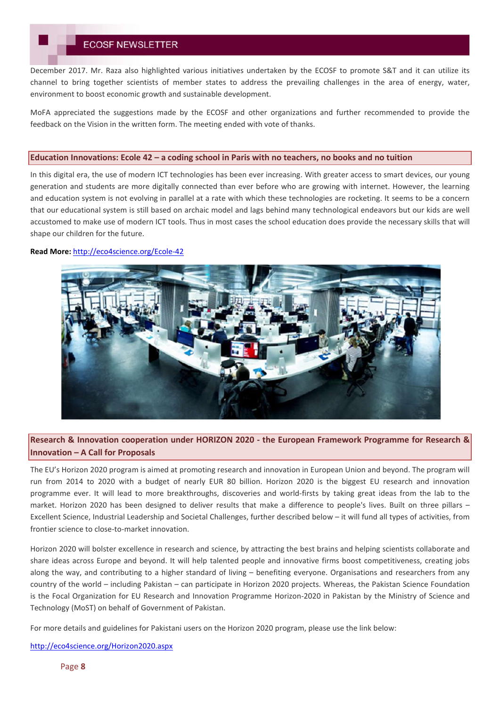December 2017. Mr. Raza also highlighted various initiatives undertaken by the ECOSF to promote S&T and it can utilize its channel to bring together scientists of member states to address the prevailing challenges in the area of energy, water, environment to boost economic growth and sustainable development.

MoFA appreciated the suggestions made by the ECOSF and other organizations and further recommended to provide the feedback on the Vision in the written form. The meeting ended with vote of thanks.

#### **Education Innovations: Ecole 42 – a coding school in Paris with no teachers, no books and no tuition**

In this digital era, the use of modern ICT technologies has been ever increasing. With greater access to smart devices, our young generation and students are more digitally connected than ever before who are growing with internet. However, the learning and education system is not evolving in parallel at a rate with which these technologies are rocketing. It seems to be a concern that our educational system is still based on archaic model and lags behind many technological endeavors but our kids are well accustomed to make use of modern ICT tools. Thus in most cases the school education does provide the necessary skills that will shape our children for the future.

#### **Read More:** http://eco4science.org/Ecole-42



## **Research & Innovation cooperation under HORIZON 2020 - the European Framework Programme for Research & Innovation – A Call for Proposals**

The EU's Horizon 2020 program is aimed at promoting research and innovation in European Union and beyond. The program will run from 2014 to 2020 with a budget of nearly EUR 80 billion. Horizon 2020 is the biggest EU research and innovation programme ever. It will lead to more breakthroughs, discoveries and world-firsts by taking great ideas from the lab to the market. Horizon 2020 has been designed to deliver results that make a difference to people's lives. Built on three pillars – Excellent Science, Industrial Leadership and Societal Challenges, further described below – it will fund all types of activities, from frontier science to close-to-market innovation.

Horizon 2020 will bolster excellence in research and science, by attracting the best brains and helping scientists collaborate and share ideas across Europe and beyond. It will help talented people and innovative firms boost competitiveness, creating jobs along the way, and contributing to a higher standard of living – benefiting everyone. Organisations and researchers from any country of the world – including Pakistan – can participate in Horizon 2020 projects. Whereas, the Pakistan Science Foundation is the Focal Organization for EU Research and Innovation Programme Horizon-2020 in Pakistan by the Ministry of Science and Technology (MoST) on behalf of Government of Pakistan.

For more details and guidelines for Pakistani users on the Horizon 2020 program, please use the link below:

http://eco4science.org/Horizon2020.aspx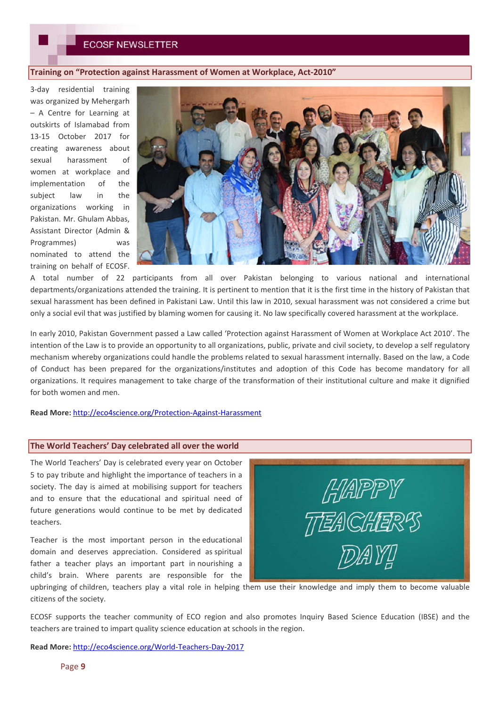#### **Training on "Protection against Harassment of Women at Workplace, Act-2010"**

3-day residential training was organized by Mehergarh – A Centre for Learning at outskirts of Islamabad from 13-15 October 2017 for creating awareness about sexual harassment of women at workplace and implementation of the subject law in the organizations working in Pakistan. Mr. Ghulam Abbas, Assistant Director (Admin & Programmes) was nominated to attend the training on behalf of ECOSF.



A total number of 22 participants from all over Pakistan belonging to various national and international departments/organizations attended the training. It is pertinent to mention that it is the first time in the history of Pakistan that sexual harassment has been defined in Pakistani Law. Until this law in 2010, sexual harassment was not considered a crime but only a social evil that was justified by blaming women for causing it. No law specifically covered harassment at the workplace.

In early 2010, Pakistan Government passed a Law called 'Protection against Harassment of Women at Workplace Act 2010'. The intention of the Law is to provide an opportunity to all organizations, public, private and civil society, to develop a self regulatory mechanism whereby organizations could handle the problems related to sexual harassment internally. Based on the law, a Code of Conduct has been prepared for the organizations/institutes and adoption of this Code has become mandatory for all organizations. It requires management to take charge of the transformation of their institutional culture and make it dignified for both women and men.

**Read More:** http://eco4science.org/Protection-Against-Harassment

#### **The World Teachers' Day celebrated all over the world**

The World Teachers' Day is celebrated every year on October 5 to pay tribute and highlight the importance of teachers in a society. The day is aimed at mobilising support for teachers and to ensure that the educational and spiritual need of future generations would continue to be met by dedicated teachers.

Teacher is the most important person in the educational domain and deserves appreciation. Considered as spiritual father a teacher plays an important part in nourishing a child's brain. Where parents are responsible for the

HAPPY TTEACHER<sup>S</sup> DAY!

upbringing of children, teachers play a vital role in helping them use their knowledge and imply them to become valuable citizens of the society.

ECOSF supports the teacher community of ECO region and also promotes Inquiry Based Science Education (IBSE) and the teachers are trained to impart quality science education at schools in the region.

**Read More:** http://eco4science.org/World-Teachers-Day-2017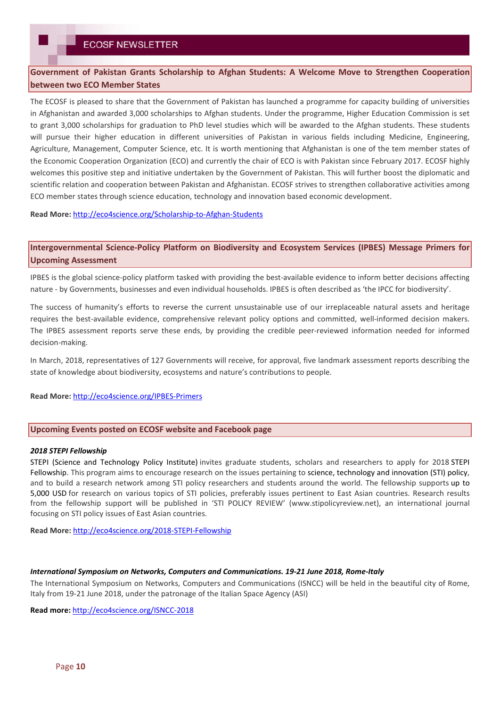**Government of Pakistan Grants Scholarship to Afghan Students: A Welcome Move to Strengthen Cooperation between two ECO Member States**

The ECOSF is pleased to share that the Government of Pakistan has launched a programme for capacity building of universities in Afghanistan and awarded 3,000 scholarships to Afghan students. Under the programme, Higher Education Commission is set to grant 3,000 scholarships for graduation to PhD level studies which will be awarded to the Afghan students. These students will pursue their higher education in different universities of Pakistan in various fields including Medicine, Engineering, Agriculture, Management, Computer Science, etc. It is worth mentioning that Afghanistan is one of the tem member states of the Economic Cooperation Organization (ECO) and currently the chair of ECO is with Pakistan since February 2017. ECOSF highly welcomes this positive step and initiative undertaken by the Government of Pakistan. This will further boost the diplomatic and scientific relation and cooperation between Pakistan and Afghanistan. ECOSF strives to strengthen collaborative activities among ECO member states through science education, technology and innovation based economic development.

**Read More:** http://eco4science.org/Scholarship-to-Afghan-Students

**Intergovernmental Science-Policy Platform on Biodiversity and Ecosystem Services (IPBES) Message Primers for Upcoming Assessment**

IPBES is the global science-policy platform tasked with providing the best-available evidence to inform better decisions affecting nature - by Governments, businesses and even individual households. IPBES is often described as 'the IPCC for biodiversity'.

The success of humanity's efforts to reverse the current unsustainable use of our irreplaceable natural assets and heritage requires the best-available evidence, comprehensive relevant policy options and committed, well-informed decision makers. The IPBES assessment reports serve these ends, by providing the credible peer-reviewed information needed for informed decision-making.

In March, 2018, representatives of 127 Governments will receive, for approval, five landmark assessment reports describing the state of knowledge about biodiversity, ecosystems and nature's contributions to people.

**Read More:** http://eco4science.org/IPBES-Primers

### **Upcoming Events posted on ECOSF website and Facebook page**

#### *2018 STEPI Fellowship*

STEPI (Science and Technology Policy Institute) invites graduate students, scholars and researchers to apply for 2018 STEPI Fellowship. This program aims to encourage research on the issues pertaining to science, technology and innovation (STI) policy, and to build a research network among STI policy researchers and students around the world. The fellowship supports up to 5,000 USD for research on various topics of STI policies, preferably issues pertinent to East Asian countries. Research results from the fellowship support will be published in 'STI POLICY REVIEW' (www.stipolicyreview.net), an international journal focusing on STI policy issues of East Asian countries.

**Read More:** http://eco4science.org/2018-STEPI-Fellowship

#### *International Symposium on Networks, Computers and Communications. 19-21 June 2018, Rome-Italy*

The International Symposium on Networks, Computers and Communications (ISNCC) will be held in the beautiful city of Rome, Italy from 19-21 June 2018, under the patronage of the Italian Space Agency (ASI)

**Read more:** http://eco4science.org/ISNCC-2018